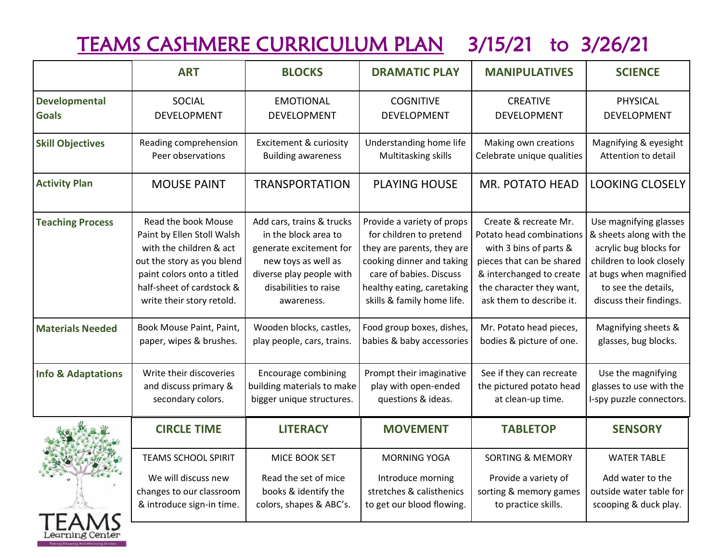# TEAMS CASHMERE CURRICULUM PLAN 3/15/21 to 3/26/21

|                               | <b>ART</b>                 | <b>BLOCKS</b>                     | <b>DRAMATIC PLAY</b>       | <b>MANIPULATIVES</b>        | <b>SCIENCE</b>           |
|-------------------------------|----------------------------|-----------------------------------|----------------------------|-----------------------------|--------------------------|
| <b>Developmental</b>          | <b>SOCIAL</b>              | <b>EMOTIONAL</b>                  | <b>COGNITIVE</b>           | <b>CREATIVE</b>             | PHYSICAL                 |
| <b>Goals</b>                  | DEVELOPMENT                | <b>DEVELOPMENT</b>                | <b>DEVELOPMENT</b>         | DEVELOPMENT                 | DEVELOPMENT              |
| <b>Skill Objectives</b>       | Reading comprehension      | <b>Excitement &amp; curiosity</b> | Understanding home life    | Making own creations        | Magnifying & eyesight    |
|                               | Peer observations          | <b>Building awareness</b>         | Multitasking skills        | Celebrate unique qualities  | Attention to detail      |
| <b>Activity Plan</b>          | <b>MOUSE PAINT</b>         | <b>TRANSPORTATION</b>             | <b>PLAYING HOUSE</b>       | <b>MR. POTATO HEAD</b>      | <b>LOOKING CLOSELY</b>   |
| <b>Teaching Process</b>       | Read the book Mouse        | Add cars, trains & trucks         | Provide a variety of props | Create & recreate Mr.       | Use magnifying glasses   |
|                               | Paint by Ellen Stoll Walsh | in the block area to              | for children to pretend    | Potato head combinations    | & sheets along with the  |
|                               | with the children & act    | generate excitement for           | they are parents, they are | with 3 bins of parts &      | acrylic bug blocks for   |
|                               | out the story as you blend | new toys as well as               | cooking dinner and taking  | pieces that can be shared   | children to look closely |
|                               | paint colors onto a titled | diverse play people with          | care of babies. Discuss    | & interchanged to create    | at bugs when magnified   |
|                               | half-sheet of cardstock &  | disabilities to raise             | healthy eating, caretaking | the character they want,    | to see the details,      |
|                               | write their story retold.  | awareness.                        | skills & family home life. | ask them to describe it.    | discuss their findings.  |
| <b>Materials Needed</b>       | Book Mouse Paint, Paint,   | Wooden blocks, castles,           | Food group boxes, dishes,  | Mr. Potato head pieces,     | Magnifying sheets &      |
|                               | paper, wipes & brushes.    | play people, cars, trains.        | babies & baby accessories  | bodies & picture of one.    | glasses, bug blocks.     |
| <b>Info &amp; Adaptations</b> | Write their discoveries    | <b>Encourage combining</b>        | Prompt their imaginative   | See if they can recreate    | Use the magnifying       |
|                               | and discuss primary &      | building materials to make        | play with open-ended       | the pictured potato head    | glasses to use with the  |
|                               | secondary colors.          | bigger unique structures.         | questions & ideas.         | at clean-up time.           | I-spy puzzle connectors. |
|                               | <b>CIRCLE TIME</b>         | <b>LITERACY</b>                   | <b>MOVEMENT</b>            | <b>TABLETOP</b>             | <b>SENSORY</b>           |
| TEAMS                         | <b>TEAMS SCHOOL SPIRIT</b> | MICE BOOK SET                     | <b>MORNING YOGA</b>        | <b>SORTING &amp; MEMORY</b> | <b>WATER TABLE</b>       |
|                               | We will discuss new        | Read the set of mice              | Introduce morning          | Provide a variety of        | Add water to the         |
|                               | changes to our classroom   | books & identify the              | stretches & calisthenics   | sorting & memory games      | outside water table for  |
|                               | & introduce sign-in time.  | colors, shapes & ABC's.           | to get our blood flowing.  | to practice skills.         | scooping & duck play.    |
|                               |                            |                                   |                            |                             |                          |

earning Center **Training Educating And Mentoring Services**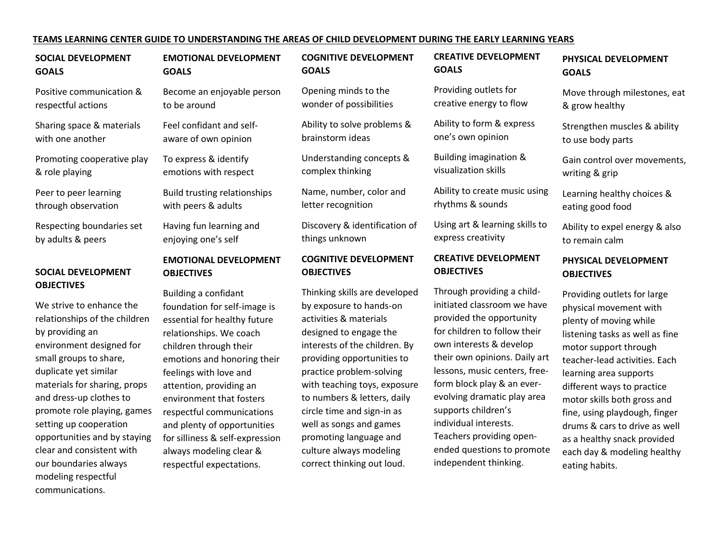#### **TEAMS LEARNING CENTER GUIDE TO UNDERSTANDING THE AREAS OF CHILD DEVELOPMENT DURING THE EARLY LEARNING YEARS**

#### **SOCIAL DEVELOPMENT GOALS**

Positive communication & respectful actions

Sharing space & materials with one another

Promoting cooperative play & role playing

Peer to peer learning through observation

Respecting boundaries set by adults & peers

#### **SOCIAL DEVELOPMENT OBJECTIVES**

We strive to enhance the relationships of the children by providing an environment designed for small groups to share, duplicate yet similar materials for sharing, props and dress-up clothes to promote role playing, games setting up cooperation opportunities and by staying clear and consistent with our boundaries always modeling respectful communications.

#### **EMOTIONAL DEVELOPMENT GOALS**

Become an enjoyable person to be around

Feel confidant and selfaware of own opinion

To express & identify emotions with respect

Build trusting relationships with peers & adults

Having fun learning and enjoying one's self

#### **EMOTIONAL DEVELOPMENT OBJECTIVES**

Building a confidant foundation for self-image is essential for healthy future relationships. We coach children through their emotions and honoring their feelings with love and attention, providing an environment that fosters respectful communications and plenty of opportunities for silliness & self-expression always modeling clear & respectful expectations.

**COGNITIVE DEVELOPMENT GOALS**

Opening minds to the wonder of possibilities

Ability to solve problems & brainstorm ideas

Understanding concepts & complex thinking

Name, number, color and letter recognition

Discovery & identification of things unknown

#### **COGNITIVE DEVELOPMENT OBJECTIVES**

Thinking skills are developed by exposure to hands-on activities & materials designed to engage the interests of the children. By providing opportunities to practice problem-solving with teaching toys, exposure to numbers & letters, daily circle time and sign-in as well as songs and games promoting language and culture always modeling correct thinking out loud.

### **CREATIVE DEVELOPMENT GOALS**

Providing outlets for creative energy to flow

Ability to form & express one's own opinion

Building imagination & visualization skills

Ability to create music using rhythms & sounds

Using art & learning skills to express creativity

#### **CREATIVE DEVELOPMENT OBJECTIVES**

Through providing a childinitiated classroom we have provided the opportunity for children to follow their own interests & develop their own opinions. Daily art lessons, music centers, freeform block play & an everevolving dramatic play area supports children's individual interests. Teachers providing openended questions to promote independent thinking.

### **PHYSICAL DEVELOPMENT GOALS**

Move through milestones, eat & grow healthy

Strengthen muscles & ability to use body parts

Gain control over movements, writing & grip

Learning healthy choices & eating good food

Ability to expel energy & also to remain calm

#### **PHYSICAL DEVELOPMENT OBJECTIVES**

Providing outlets for large physical movement with plenty of moving while listening tasks as well as fine motor support through teacher-lead activities. Each learning area supports different ways to practice motor skills both gross and fine, using playdough, finger drums & cars to drive as well as a healthy snack provided each day & modeling healthy eating habits.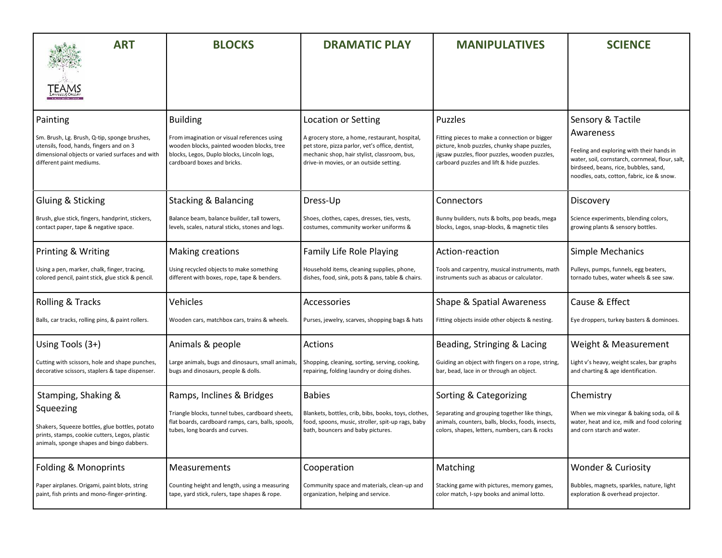| <b>ART</b>                                                                                                                                                                         | <b>BLOCKS</b>                                                                                                                                                                             | <b>DRAMATIC PLAY</b>                                                                                                                                                                                                       | <b>MANIPULATIVES</b>                                                                                                                                                                                           | <b>SCIENCE</b>                                                                                                                                                                                                        |
|------------------------------------------------------------------------------------------------------------------------------------------------------------------------------------|-------------------------------------------------------------------------------------------------------------------------------------------------------------------------------------------|----------------------------------------------------------------------------------------------------------------------------------------------------------------------------------------------------------------------------|----------------------------------------------------------------------------------------------------------------------------------------------------------------------------------------------------------------|-----------------------------------------------------------------------------------------------------------------------------------------------------------------------------------------------------------------------|
|                                                                                                                                                                                    |                                                                                                                                                                                           |                                                                                                                                                                                                                            |                                                                                                                                                                                                                |                                                                                                                                                                                                                       |
| Painting<br>Sm. Brush, Lg. Brush, Q-tip, sponge brushes,<br>utensils, food, hands, fingers and on 3<br>dimensional objects or varied surfaces and with<br>different paint mediums. | <b>Building</b><br>From imagination or visual references using<br>wooden blocks, painted wooden blocks, tree<br>blocks, Legos, Duplo blocks, Lincoln logs,<br>cardboard boxes and bricks. | <b>Location or Setting</b><br>A grocery store, a home, restaurant, hospital,<br>pet store, pizza parlor, vet's office, dentist,<br>mechanic shop, hair stylist, classroom, bus,<br>drive-in movies, or an outside setting. | <b>Puzzles</b><br>Fitting pieces to make a connection or bigger<br>picture, knob puzzles, chunky shape puzzles,<br>jigsaw puzzles, floor puzzles, wooden puzzles,<br>carboard puzzles and lift & hide puzzles. | Sensory & Tactile<br>Awareness<br>Feeling and exploring with their hands in<br>water, soil, cornstarch, cornmeal, flour, salt,<br>birdseed, beans, rice, bubbles, sand,<br>noodles, oats, cotton, fabric, ice & snow. |
| Gluing & Sticking                                                                                                                                                                  | <b>Stacking &amp; Balancing</b>                                                                                                                                                           | Dress-Up                                                                                                                                                                                                                   | Connectors                                                                                                                                                                                                     | Discovery                                                                                                                                                                                                             |
| Brush, glue stick, fingers, handprint, stickers,                                                                                                                                   | Balance beam, balance builder, tall towers,                                                                                                                                               | Shoes, clothes, capes, dresses, ties, vests,                                                                                                                                                                               | Bunny builders, nuts & bolts, pop beads, mega                                                                                                                                                                  | Science experiments, blending colors,                                                                                                                                                                                 |
| contact paper, tape & negative space.                                                                                                                                              | levels, scales, natural sticks, stones and logs.                                                                                                                                          | costumes, community worker uniforms &                                                                                                                                                                                      | blocks, Legos, snap-blocks, & magnetic tiles                                                                                                                                                                   | growing plants & sensory bottles.                                                                                                                                                                                     |
| Printing & Writing                                                                                                                                                                 | Making creations                                                                                                                                                                          | Family Life Role Playing                                                                                                                                                                                                   | Action-reaction                                                                                                                                                                                                | <b>Simple Mechanics</b>                                                                                                                                                                                               |
| Using a pen, marker, chalk, finger, tracing,                                                                                                                                       | Using recycled objects to make something                                                                                                                                                  | Household items, cleaning supplies, phone,                                                                                                                                                                                 | Tools and carpentry, musical instruments, math                                                                                                                                                                 | Pulleys, pumps, funnels, egg beaters,                                                                                                                                                                                 |
| colored pencil, paint stick, glue stick & pencil.                                                                                                                                  | different with boxes, rope, tape & benders.                                                                                                                                               | dishes, food, sink, pots & pans, table & chairs.                                                                                                                                                                           | instruments such as abacus or calculator.                                                                                                                                                                      | tornado tubes, water wheels & see saw.                                                                                                                                                                                |
| Rolling & Tracks                                                                                                                                                                   | Vehicles                                                                                                                                                                                  | Accessories                                                                                                                                                                                                                | Shape & Spatial Awareness                                                                                                                                                                                      | Cause & Effect                                                                                                                                                                                                        |
| Balls, car tracks, rolling pins, & paint rollers.                                                                                                                                  | Wooden cars, matchbox cars, trains & wheels.                                                                                                                                              | Purses, jewelry, scarves, shopping bags & hats                                                                                                                                                                             | Fitting objects inside other objects & nesting.                                                                                                                                                                | Eye droppers, turkey basters & dominoes.                                                                                                                                                                              |
| Using Tools (3+)                                                                                                                                                                   | Animals & people                                                                                                                                                                          | Actions                                                                                                                                                                                                                    | Beading, Stringing & Lacing                                                                                                                                                                                    | Weight & Measurement                                                                                                                                                                                                  |
| Cutting with scissors, hole and shape punches,                                                                                                                                     | Large animals, bugs and dinosaurs, small animals,                                                                                                                                         | Shopping, cleaning, sorting, serving, cooking,                                                                                                                                                                             | Guiding an object with fingers on a rope, string,                                                                                                                                                              | Light v's heavy, weight scales, bar graphs                                                                                                                                                                            |
| decorative scissors, staplers & tape dispenser.                                                                                                                                    | bugs and dinosaurs, people & dolls.                                                                                                                                                       | repairing, folding laundry or doing dishes.                                                                                                                                                                                | bar, bead, lace in or through an object.                                                                                                                                                                       | and charting & age identification.                                                                                                                                                                                    |
| Stamping, Shaking &<br>Squeezing<br>Shakers, Squeeze bottles, glue bottles, potato<br>prints, stamps, cookie cutters, Legos, plastic<br>animals, sponge shapes and bingo dabbers.  | Ramps, Inclines & Bridges<br>Triangle blocks, tunnel tubes, cardboard sheets,<br>flat boards, cardboard ramps, cars, balls, spools,<br>tubes, long boards and curves.                     | <b>Babies</b><br>Blankets, bottles, crib, bibs, books, toys, clothes,<br>food, spoons, music, stroller, spit-up rags, baby<br>bath, bouncers and baby pictures.                                                            | Sorting & Categorizing<br>Separating and grouping together like things,<br>animals, counters, balls, blocks, foods, insects,<br>colors, shapes, letters, numbers, cars & rocks                                 | Chemistry<br>When we mix vinegar & baking soda, oil &<br>water, heat and ice, milk and food coloring<br>and corn starch and water.                                                                                    |
| Folding & Monoprints                                                                                                                                                               | Measurements                                                                                                                                                                              | Cooperation                                                                                                                                                                                                                | Matching                                                                                                                                                                                                       | Wonder & Curiosity                                                                                                                                                                                                    |
| Paper airplanes. Origami, paint blots, string                                                                                                                                      | Counting height and length, using a measuring                                                                                                                                             | Community space and materials, clean-up and                                                                                                                                                                                | Stacking game with pictures, memory games,                                                                                                                                                                     | Bubbles, magnets, sparkles, nature, light                                                                                                                                                                             |
| paint, fish prints and mono-finger-printing.                                                                                                                                       | tape, yard stick, rulers, tape shapes & rope.                                                                                                                                             | organization, helping and service.                                                                                                                                                                                         | color match, I-spy books and animal lotto.                                                                                                                                                                     | exploration & overhead projector.                                                                                                                                                                                     |